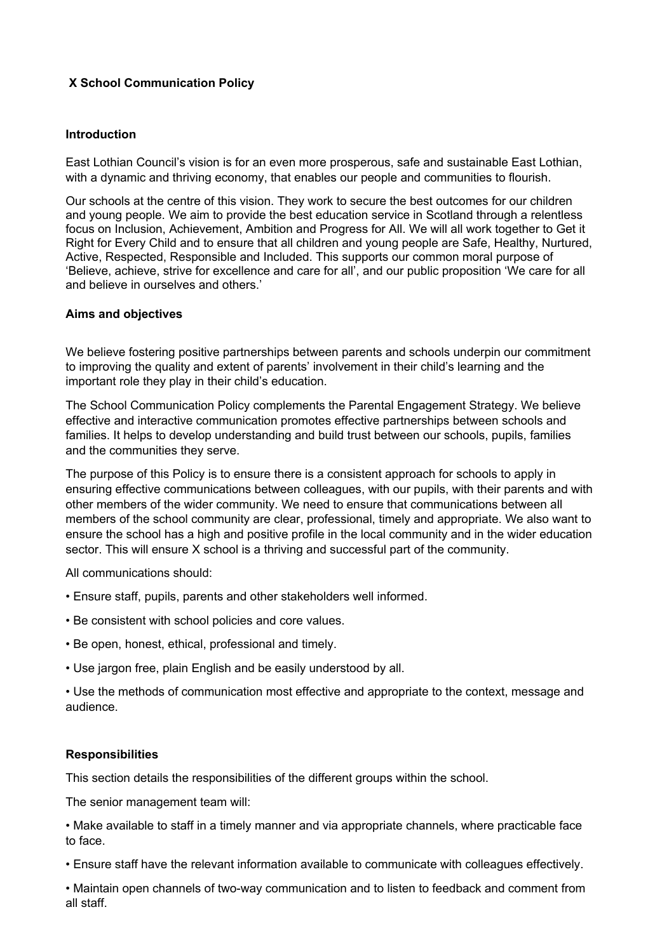# **X School Communication Policy**

#### **Introduction**

East Lothian Council's vision is for an even more prosperous, safe and sustainable East Lothian, with a dynamic and thriving economy, that enables our people and communities to flourish.

Our schools at the centre of this vision. They work to secure the best outcomes for our children and young people. We aim to provide the best education service in Scotland through a relentless focus on Inclusion, Achievement, Ambition and Progress for All. We will all work together to Get it Right for Every Child and to ensure that all children and young people are Safe, Healthy, Nurtured, Active, Respected, Responsible and Included. This supports our common moral purpose of 'Believe, achieve, strive for excellence and care for all', and our public proposition 'We care for all and believe in ourselves and others.'

## **Aims and objectives**

We believe fostering positive partnerships between parents and schools underpin our commitment to improving the quality and extent of parents' involvement in their child's learning and the important role they play in their child's education.

The School Communication Policy complements the Parental Engagement Strategy. We believe effective and interactive communication promotes effective partnerships between schools and families. It helps to develop understanding and build trust between our schools, pupils, families and the communities they serve.

The purpose of this Policy is to ensure there is a consistent approach for schools to apply in ensuring effective communications between colleagues, with our pupils, with their parents and with other members of the wider community. We need to ensure that communications between all members of the school community are clear, professional, timely and appropriate. We also want to ensure the school has a high and positive profile in the local community and in the wider education sector. This will ensure X school is a thriving and successful part of the community.

All communications should:

- Ensure staff, pupils, parents and other stakeholders well informed.
- Be consistent with school policies and core values.
- Be open, honest, ethical, professional and timely.
- Use jargon free, plain English and be easily understood by all.

• Use the methods of communication most effective and appropriate to the context, message and audience.

#### **Responsibilities**

This section details the responsibilities of the different groups within the school.

The senior management team will:

• Make available to staff in a timely manner and via appropriate channels, where practicable face to face.

• Ensure staff have the relevant information available to communicate with colleagues effectively.

• Maintain open channels of two-way communication and to listen to feedback and comment from all staff.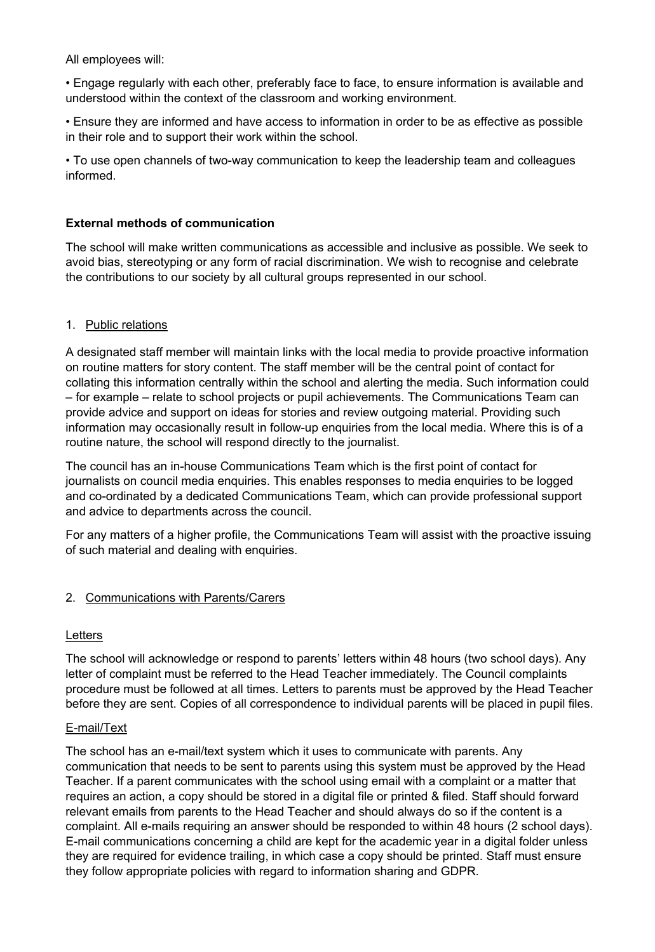All employees will:

• Engage regularly with each other, preferably face to face, to ensure information is available and understood within the context of the classroom and working environment.

• Ensure they are informed and have access to information in order to be as effective as possible in their role and to support their work within the school.

• To use open channels of two-way communication to keep the leadership team and colleagues informed.

# **External methods of communication**

The school will make written communications as accessible and inclusive as possible. We seek to avoid bias, stereotyping or any form of racial discrimination. We wish to recognise and celebrate the contributions to our society by all cultural groups represented in our school.

## 1. Public relations

A designated staff member will maintain links with the local media to provide proactive information on routine matters for story content. The staff member will be the central point of contact for collating this information centrally within the school and alerting the media. Such information could – for example – relate to school projects or pupil achievements. The Communications Team can provide advice and support on ideas for stories and review outgoing material. Providing such information may occasionally result in follow-up enquiries from the local media. Where this is of a routine nature, the school will respond directly to the journalist.

The council has an in-house Communications Team which is the first point of contact for journalists on council media enquiries. This enables responses to media enquiries to be logged and co-ordinated by a dedicated Communications Team, which can provide professional support and advice to departments across the council.

For any matters of a higher profile, the Communications Team will assist with the proactive issuing of such material and dealing with enquiries.

#### 2. Communications with Parents/Carers

#### Letters

The school will acknowledge or respond to parents' letters within 48 hours (two school days). Any letter of complaint must be referred to the Head Teacher immediately. The Council complaints procedure must be followed at all times. Letters to parents must be approved by the Head Teacher before they are sent. Copies of all correspondence to individual parents will be placed in pupil files.

#### E-mail/Text

The school has an e-mail/text system which it uses to communicate with parents. Any communication that needs to be sent to parents using this system must be approved by the Head Teacher. If a parent communicates with the school using email with a complaint or a matter that requires an action, a copy should be stored in a digital file or printed & filed. Staff should forward relevant emails from parents to the Head Teacher and should always do so if the content is a complaint. All e-mails requiring an answer should be responded to within 48 hours (2 school days). E-mail communications concerning a child are kept for the academic year in a digital folder unless they are required for evidence trailing, in which case a copy should be printed. Staff must ensure they follow appropriate policies with regard to information sharing and GDPR.